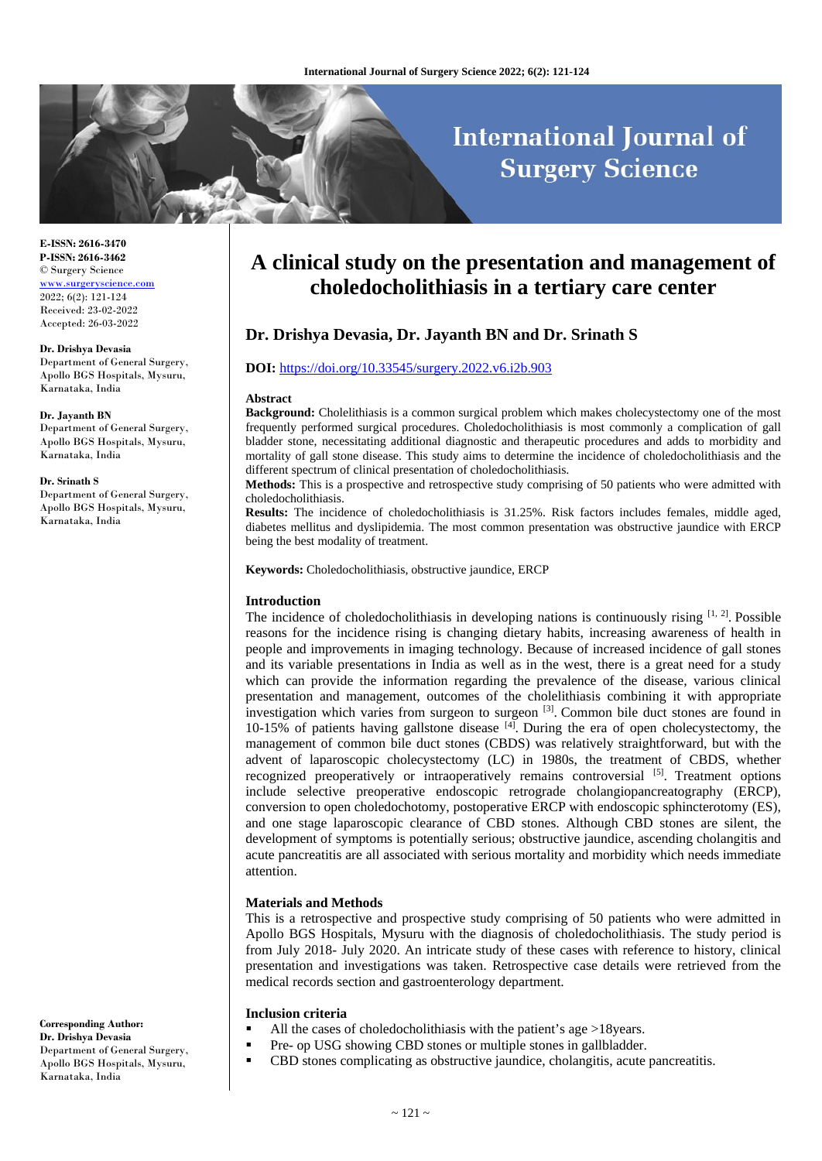# **International Journal of Surgery Science**

**E-ISSN: 2616-3470 P-ISSN: 2616-3462** © Surgery Science [www.surgeryscience.com](http://www.surgeryscience.com/) 2022; 6(2): 121-124 Received: 23-02-2022 Accepted: 26-03-2022

#### **Dr. Drishya Devasia**

Department of General Surgery, Apollo BGS Hospitals, Mysuru, Karnataka, India

#### **Dr. Jayanth BN**

Department of General Surgery, Apollo BGS Hospitals, Mysuru, Karnataka, India

#### **Dr. Srinath S**

Department of General Surgery, Apollo BGS Hospitals, Mysuru, Karnataka, India

#### **Corresponding Author: Dr. Drishya Devasia** Department of General Surgery, Apollo BGS Hospitals, Mysuru, Karnataka, India

## **A clinical study on the presentation and management of choledocholithiasis in a tertiary care center**

## **Dr. Drishya Devasia, Dr. Jayanth BN and Dr. Srinath S**

#### **DOI:** <https://doi.org/10.33545/surgery.2022.v6.i2b.903>

#### **Abstract**

**Background:** Cholelithiasis is a common surgical problem which makes cholecystectomy one of the most frequently performed surgical procedures. Choledocholithiasis is most commonly a complication of gall bladder stone, necessitating additional diagnostic and therapeutic procedures and adds to morbidity and mortality of gall stone disease. This study aims to determine the incidence of choledocholithiasis and the different spectrum of clinical presentation of choledocholithiasis.

**Methods:** This is a prospective and retrospective study comprising of 50 patients who were admitted with choledocholithiasis.

**Results:** The incidence of choledocholithiasis is 31.25%. Risk factors includes females, middle aged, diabetes mellitus and dyslipidemia. The most common presentation was obstructive jaundice with ERCP being the best modality of treatment.

**Keywords:** Choledocholithiasis, obstructive jaundice, ERCP

## **Introduction**

The incidence of choledocholithiasis in developing nations is continuously rising  $[1, 2]$ . Possible reasons for the incidence rising is changing dietary habits, increasing awareness of health in people and improvements in imaging technology. Because of increased incidence of gall stones and its variable presentations in India as well as in the west, there is a great need for a study which can provide the information regarding the prevalence of the disease, various clinical presentation and management, outcomes of the cholelithiasis combining it with appropriate investigation which varies from surgeon to surgeon [3]. Common bile duct stones are found in 10-15% of patients having gallstone disease  $[4]$ . During the era of open cholecystectomy, the management of common bile duct stones (CBDS) was relatively straightforward, but with the advent of laparoscopic cholecystectomy (LC) in 1980s, the treatment of CBDS, whether recognized preoperatively or intraoperatively remains controversial [5]. Treatment options include selective preoperative endoscopic retrograde cholangiopancreatography (ERCP), conversion to open choledochotomy, postoperative ERCP with endoscopic sphincterotomy (ES), and one stage laparoscopic clearance of CBD stones. Although CBD stones are silent, the development of symptoms is potentially serious; obstructive jaundice, ascending cholangitis and acute pancreatitis are all associated with serious mortality and morbidity which needs immediate attention.

#### **Materials and Methods**

This is a retrospective and prospective study comprising of 50 patients who were admitted in Apollo BGS Hospitals, Mysuru with the diagnosis of choledocholithiasis. The study period is from July 2018- July 2020. An intricate study of these cases with reference to history, clinical presentation and investigations was taken. Retrospective case details were retrieved from the medical records section and gastroenterology department.

## **Inclusion criteria**

- $\blacksquare$  All the cases of choledocholithiasis with the patient's age >18years.
- Pre- op USG showing CBD stones or multiple stones in gallbladder.
- CBD stones complicating as obstructive jaundice, cholangitis, acute pancreatitis.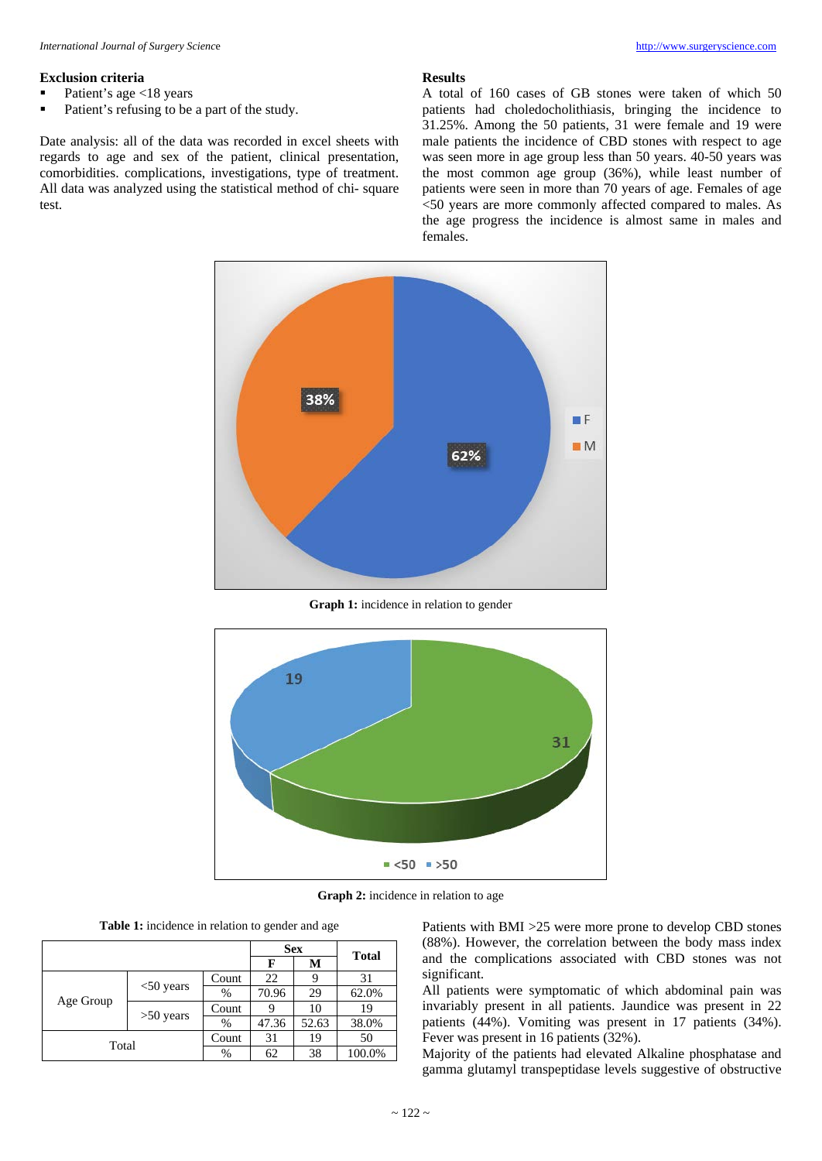## **Exclusion criteria**

- Patient's age <18 years
- Patient's refusing to be a part of the study.

Date analysis: all of the data was recorded in excel sheets with regards to age and sex of the patient, clinical presentation, comorbidities. complications, investigations, type of treatment. All data was analyzed using the statistical method of chi- square test.

#### **Results**

A total of 160 cases of GB stones were taken of which 50 patients had choledocholithiasis, bringing the incidence to 31.25%. Among the 50 patients, 31 were female and 19 were male patients the incidence of CBD stones with respect to age was seen more in age group less than 50 years. 40-50 years was the most common age group (36%), while least number of patients were seen in more than 70 years of age. Females of age <50 years are more commonly affected compared to males. As the age progress the incidence is almost same in males and females.



**Graph 1:** incidence in relation to gender



**Graph 2:** incidence in relation to age

|  |  | Table 1: incidence in relation to gender and age |  |  |
|--|--|--------------------------------------------------|--|--|
|--|--|--------------------------------------------------|--|--|

|           | <b>Sex</b>   |             |       |       |                                            |
|-----------|--------------|-------------|-------|-------|--------------------------------------------|
|           |              | F           | М     |       |                                            |
| Age Group |              | 22<br>Count |       | 31    |                                            |
|           | $<$ 50 years | %           | 70.96 | 29    | <b>Total</b><br>62.0%<br>19<br>38.0%<br>50 |
|           |              | Count       |       | 10    |                                            |
|           | $>50$ years  | $\%$        | 47.36 | 52.63 | 100.0%                                     |
|           | Count        | 31          | 19    |       |                                            |
| Total     |              | $\%$        | 62    | 38    |                                            |

Patients with BMI >25 were more prone to develop CBD stones (88%). However, the correlation between the body mass index and the complications associated with CBD stones was not significant.

All patients were symptomatic of which abdominal pain was invariably present in all patients. Jaundice was present in 22 patients (44%). Vomiting was present in 17 patients (34%). Fever was present in 16 patients (32%).

Majority of the patients had elevated Alkaline phosphatase and gamma glutamyl transpeptidase levels suggestive of obstructive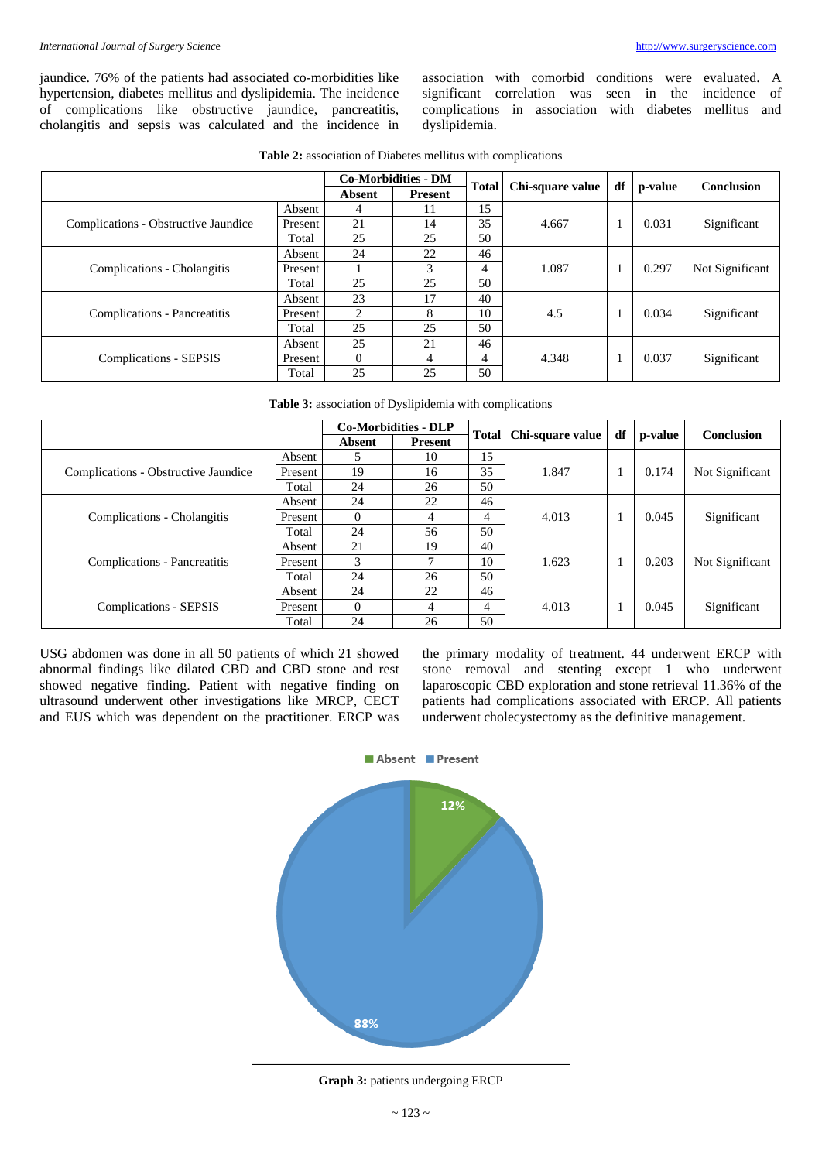jaundice. 76% of the patients had associated co-morbidities like hypertension, diabetes mellitus and dyslipidemia. The incidence of complications like obstructive jaundice, pancreatitis, cholangitis and sepsis was calculated and the incidence in association with comorbid conditions were evaluated. A significant correlation was seen in the incidence of complications in association with diabetes mellitus and dyslipidemia.

**Table 2:** association of Diabetes mellitus with complications

|                                      |         | <b>Co-Morbidities - DM</b> |         |              |                  |              |         |                   |
|--------------------------------------|---------|----------------------------|---------|--------------|------------------|--------------|---------|-------------------|
|                                      |         | Absent                     | Present | <b>Total</b> | Chi-square value | df           | p-value | <b>Conclusion</b> |
|                                      | Absent  | 4                          | 11      | 15           |                  |              |         |                   |
| Complications - Obstructive Jaundice | Present | 21                         | 14      | 35           | 4.667            | 1            | 0.031   | Significant       |
|                                      | Total   | 25                         | 25      | 50           |                  |              |         |                   |
|                                      | Absent  | 24                         | 22      | 46           |                  |              |         |                   |
| Complications - Cholangitis          | Present |                            | 3       | 4            | 1.087            |              | 0.297   | Not Significant   |
|                                      | Total   | 25                         | 25      | 50           |                  |              |         |                   |
|                                      | Absent  | 23                         | 17      | 40           | 4.5              |              | 0.034   | Significant       |
| Complications - Pancreatitis         | Present | $\mathfrak{D}$             | 8       | 10           |                  | $\mathbf{I}$ |         |                   |
|                                      | Total   | 25                         | 25      | 50           |                  |              |         |                   |
|                                      | Absent  | 25                         | 21      | 46           |                  | 1            | 0.037   | Significant       |
| Complications - SEPSIS               | Present | $\Omega$                   | 4       | 4            | 4.348            |              |         |                   |
|                                      | Total   | 25                         | 25      | 50           |                  |              |         |                   |

**Table 3:** association of Dyslipidemia with complications

|                                      |         | <b>Co-Morbidities - DLP</b> |                |    |                          |    |         |                   |
|--------------------------------------|---------|-----------------------------|----------------|----|--------------------------|----|---------|-------------------|
|                                      |         | Absent                      | <b>Present</b> |    | Total   Chi-square value | df | p-value | <b>Conclusion</b> |
|                                      | Absent  |                             | 10             | 15 |                          |    |         |                   |
| Complications - Obstructive Jaundice | Present | 19                          | 16             | 35 | 1.847                    |    | 0.174   | Not Significant   |
|                                      | Total   | 24                          | 26             | 50 |                          |    |         |                   |
|                                      | Absent  | 24                          | 22             | 46 |                          |    |         |                   |
| Complications - Cholangitis          | Present | 0                           | 4              | 4  | 4.013                    |    | 0.045   | Significant       |
|                                      | Total   | 24                          | 56             | 50 |                          |    |         |                   |
|                                      | Absent  | 21                          | 19             | 40 |                          |    |         |                   |
| Complications - Pancreatitis         | Present | 3                           |                | 10 | 1.623                    |    | 0.203   | Not Significant   |
|                                      | Total   | 24                          | 26             | 50 |                          |    |         |                   |
|                                      | Absent  | 24                          | 22             | 46 |                          |    |         |                   |
| Complications - SEPSIS               | Present | 0                           | 4              | 4  | 4.013                    |    | 0.045   | Significant       |
|                                      | Total   | 24                          | 26             | 50 |                          |    |         |                   |

USG abdomen was done in all 50 patients of which 21 showed abnormal findings like dilated CBD and CBD stone and rest showed negative finding. Patient with negative finding on ultrasound underwent other investigations like MRCP, CECT and EUS which was dependent on the practitioner. ERCP was

the primary modality of treatment. 44 underwent ERCP with stone removal and stenting except 1 who underwent laparoscopic CBD exploration and stone retrieval 11.36% of the patients had complications associated with ERCP. All patients underwent cholecystectomy as the definitive management.



**Graph 3:** patients undergoing ERCP